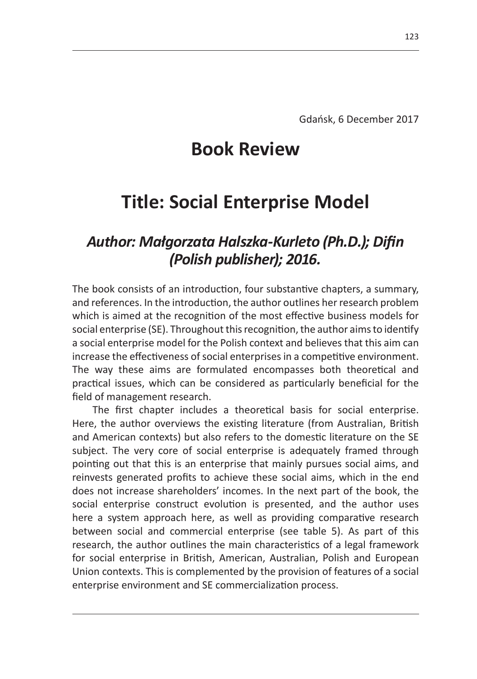## **Book Review**

## **Title: Social Enterprise Model**

## *Author: Małgorzata Halszka-Kurleto (Ph.D.); Difin (Polish publisher); 2016.*

The book consists of an introduction, four substantive chapters, a summary, and references. In the introduction, the author outlines her research problem which is aimed at the recognition of the most effective business models for social enterprise (SE). Throughout this recognition, the author aims to identify a social enterprise model for the Polish context and believes that this aim can increase the effectiveness of social enterprises in a competitive environment. The way these aims are formulated encompasses both theoretical and practical issues, which can be considered as particularly beneficial for the field of management research.

The first chapter includes a theoretical basis for social enterprise. Here, the author overviews the existing literature (from Australian, British and American contexts) but also refers to the domestic literature on the SE subject. The very core of social enterprise is adequately framed through pointing out that this is an enterprise that mainly pursues social aims, and reinvests generated profits to achieve these social aims, which in the end does not increase shareholders' incomes. In the next part of the book, the social enterprise construct evolution is presented, and the author uses here a system approach here, as well as providing comparative research between social and commercial enterprise (see table 5). As part of this research, the author outlines the main characteristics of a legal framework for social enterprise in British, American, Australian, Polish and European Union contexts. This is complemented by the provision of features of a social enterprise environment and SE commercialization process.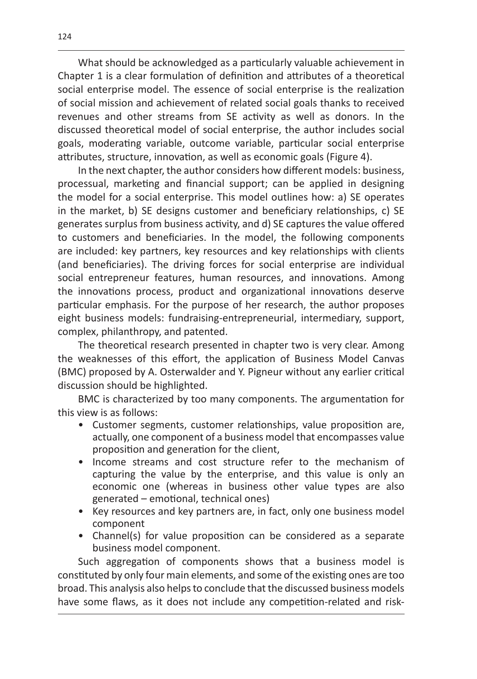What should be acknowledged as a particularly valuable achievement in Chapter 1 is a clear formulation of definition and attributes of a theoretical social enterprise model. The essence of social enterprise is the realization of social mission and achievement of related social goals thanks to received revenues and other streams from SE activity as well as donors. In the discussed theoretical model of social enterprise, the author includes social goals, moderating variable, outcome variable, particular social enterprise attributes, structure, innovation, as well as economic goals (Figure 4).

In the next chapter, the author considers how different models: business, processual, marketing and financial support; can be applied in designing the model for a social enterprise. This model outlines how: a) SE operates in the market, b) SE designs customer and beneficiary relationships, c) SE generates surplus from business activity, and d) SE captures the value offered to customers and beneficiaries. In the model, the following components are included: key partners, key resources and key relationships with clients (and beneficiaries). The driving forces for social enterprise are individual social entrepreneur features, human resources, and innovations. Among the innovations process, product and organizational innovations deserve particular emphasis. For the purpose of her research, the author proposes eight business models: fundraising-entrepreneurial, intermediary, support, complex, philanthropy, and patented.

The theoretical research presented in chapter two is very clear. Among the weaknesses of this effort, the application of Business Model Canvas (BMC) proposed by A. Osterwalder and Y. Pigneur without any earlier critical discussion should be highlighted.

BMC is characterized by too many components. The argumentation for this view is as follows:

- Customer segments, customer relationships, value proposition are, actually, one component of a business model that encompasses value proposition and generation for the client,
- Income streams and cost structure refer to the mechanism of capturing the value by the enterprise, and this value is only an economic one (whereas in business other value types are also generated – emotional, technical ones)
- Key resources and key partners are, in fact, only one business model component
- Channel(s) for value proposition can be considered as a separate business model component.

Such aggregation of components shows that a business model is constituted by only four main elements, and some of the existing ones are too broad. This analysis also helps to conclude that the discussed business models have some flaws, as it does not include any competition-related and risk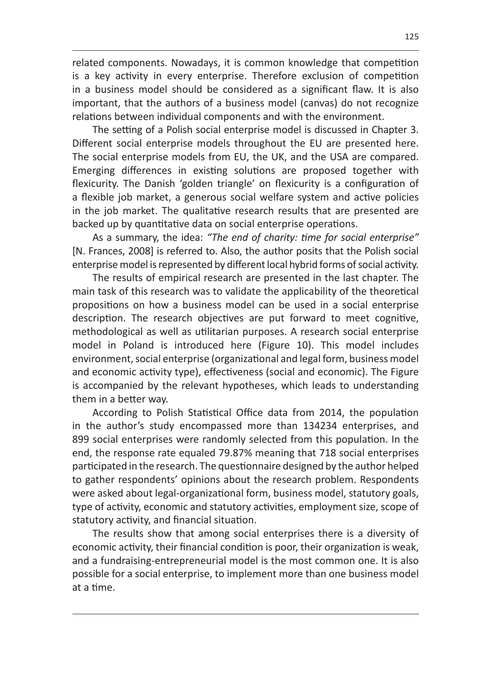related components. Nowadays, it is common knowledge that competition is a key activity in every enterprise. Therefore exclusion of competition in a business model should be considered as a significant flaw. It is also important, that the authors of a business model (canvas) do not recognize relations between individual components and with the environment.

The setting of a Polish social enterprise model is discussed in Chapter 3. Different social enterprise models throughout the EU are presented here. The social enterprise models from EU, the UK, and the USA are compared. Emerging differences in existing solutions are proposed together with flexicurity. The Danish 'golden triangle' on flexicurity is a configuration of a flexible job market, a generous social welfare system and active policies in the job market. The qualitative research results that are presented are backed up by quantitative data on social enterprise operations.

As a summary, the idea: *"The end of charity: time for social enterprise"*  [N. Frances, 2008] is referred to. Also, the author posits that the Polish social enterprise model is represented by different local hybrid forms of social activity.

The results of empirical research are presented in the last chapter. The main task of this research was to validate the applicability of the theoretical propositions on how a business model can be used in a social enterprise description. The research objectives are put forward to meet cognitive, methodological as well as utilitarian purposes. A research social enterprise model in Poland is introduced here (Figure 10). This model includes environment, social enterprise (organizational and legal form, business model and economic activity type), effectiveness (social and economic). The Figure is accompanied by the relevant hypotheses, which leads to understanding them in a better way.

According to Polish Statistical Office data from 2014, the population in the author's study encompassed more than 134234 enterprises, and 899 social enterprises were randomly selected from this population. In the end, the response rate equaled 79.87% meaning that 718 social enterprises participated in the research. The questionnaire designed by the author helped to gather respondents' opinions about the research problem. Respondents were asked about legal-organizational form, business model, statutory goals, type of activity, economic and statutory activities, employment size, scope of statutory activity, and financial situation.

The results show that among social enterprises there is a diversity of economic activity, their financial condition is poor, their organization is weak, and a fundraising-entrepreneurial model is the most common one. It is also possible for a social enterprise, to implement more than one business model at a time.